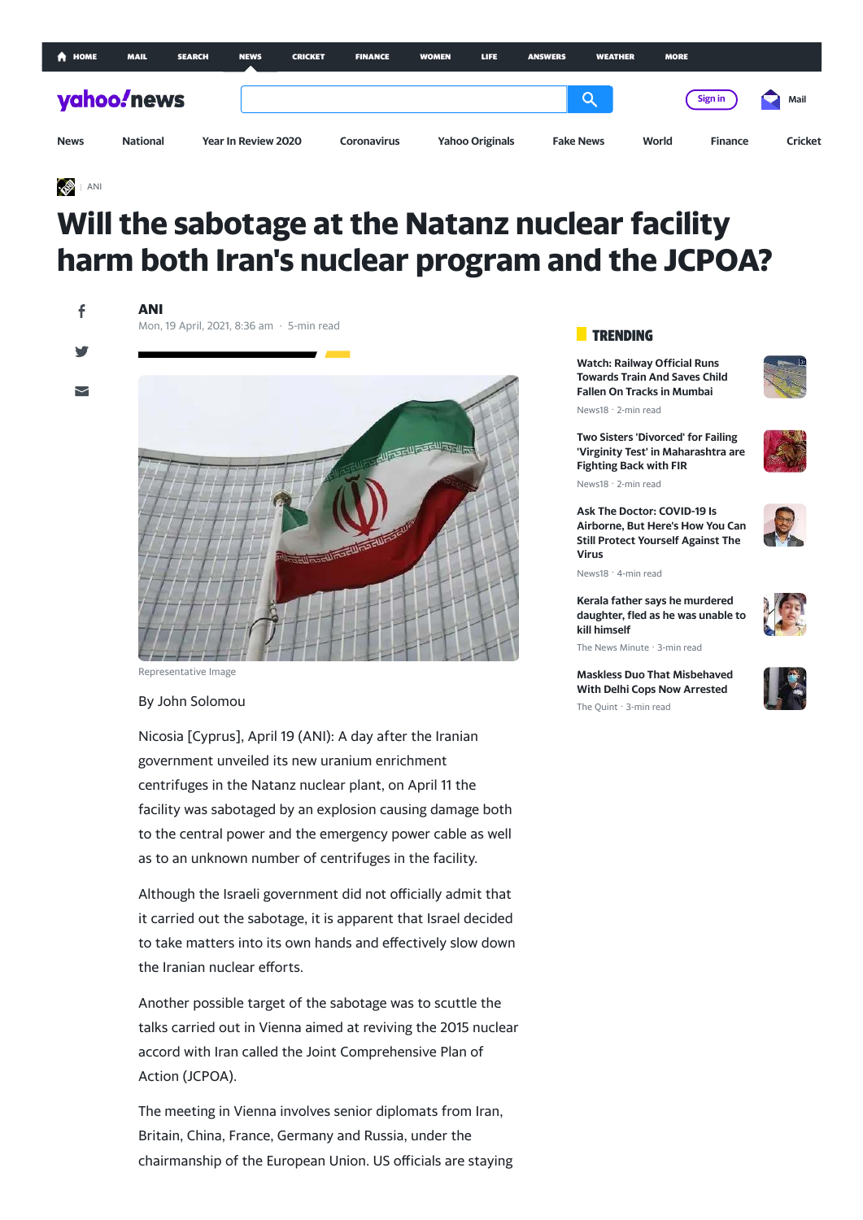| <b>A</b> HOME | <b>MAIL</b>     | <b>SEARCH</b> | <b>NEWS</b>                | <b>CRICKET</b> | <b>FINANCE</b>     | <b>WOMEN</b> | LIFE.                  | <b>ANSWERS</b> | <b>WEATHER</b>   | <b>MORE</b> |                |         |
|---------------|-----------------|---------------|----------------------------|----------------|--------------------|--------------|------------------------|----------------|------------------|-------------|----------------|---------|
| yahoo!news    |                 |               |                            |                |                    |              |                        |                | Q                |             | Sign in        | Mail    |
| <b>News</b>   | <b>National</b> |               | <b>Year In Review 2020</b> |                | <b>Coronavirus</b> |              | <b>Yahoo Originals</b> |                | <b>Fake News</b> | World       | <b>Finance</b> | Cricket |

## [ANI](http://aniin.com/)

# **Will the sabotage at the Natanz nuclear facility harm both Iran's nuclear program and the JCPOA?**

**ANI**

Mon, 19 April, 2021, 8:36 am · 5-min read

 $\overline{\phantom{0}}$ 



Representative Image

## By John Solomou

Nicosia [Cyprus], April 19 (ANI): A day after the Iranian government unveiled its new uranium enrichment centrifuges in the Natanz nuclear plant, on April 11 the facility was sabotaged by an explosion causing damage both to the central power and the emergency power cable as well as to an unknown number of centrifuges in the facility.

Although the Israeli government did not officially admit that it carried out the sabotage, it is apparent that Israel decided to take matters into its own hands and effectively slow down the Iranian nuclear efforts.

Another possible target of the sabotage was to scuttle the talks carried out in Vienna aimed at reviving the 2015 nuclear accord with Iran called the Joint Comprehensive Plan of Action (JCPOA).

The meeting in Vienna involves senior diplomats from Iran, Britain, China, France, Germany and Russia, under the chairmanship of the European Union. US officials are staying

## **TRENDING**

**Watch: Railway Official Runs [Towards Train And Saves Child](https://in.news.yahoo.com/watch-railway-official-runs-towards-073018460.html) Fallen On Tracks in Mumbai**



News18 · 2-min read

**Two Sisters 'Divorced' for Failing ['Virginity Test' in Maharashtra are](https://in.news.yahoo.com/two-sisters-divorced-failing-virginity-091835054.html) Fighting Back with FIR** News18 · 2-min read

**Ask The Doctor: COVID-19 Is [Airborne, But Here's How You Can](https://in.news.yahoo.com/ask-doctor-covid-19-airborne-084522955.html) Still Protect Yourself Against The Virus**

News18 · 4-min read

**Kerala father says he murdered [daughter, fled as he was unable to](https://in.news.yahoo.com/kerala-father-says-murdered-daughter-095952981.html) kill himself**

**[Maskless Duo That Misbehaved](https://in.news.yahoo.com/kiss-him-maskless-duo-argues-051513096.html) With Delhi Cops Now Arrested** The Quint · 3-min read

The News Minute · 3-min read



f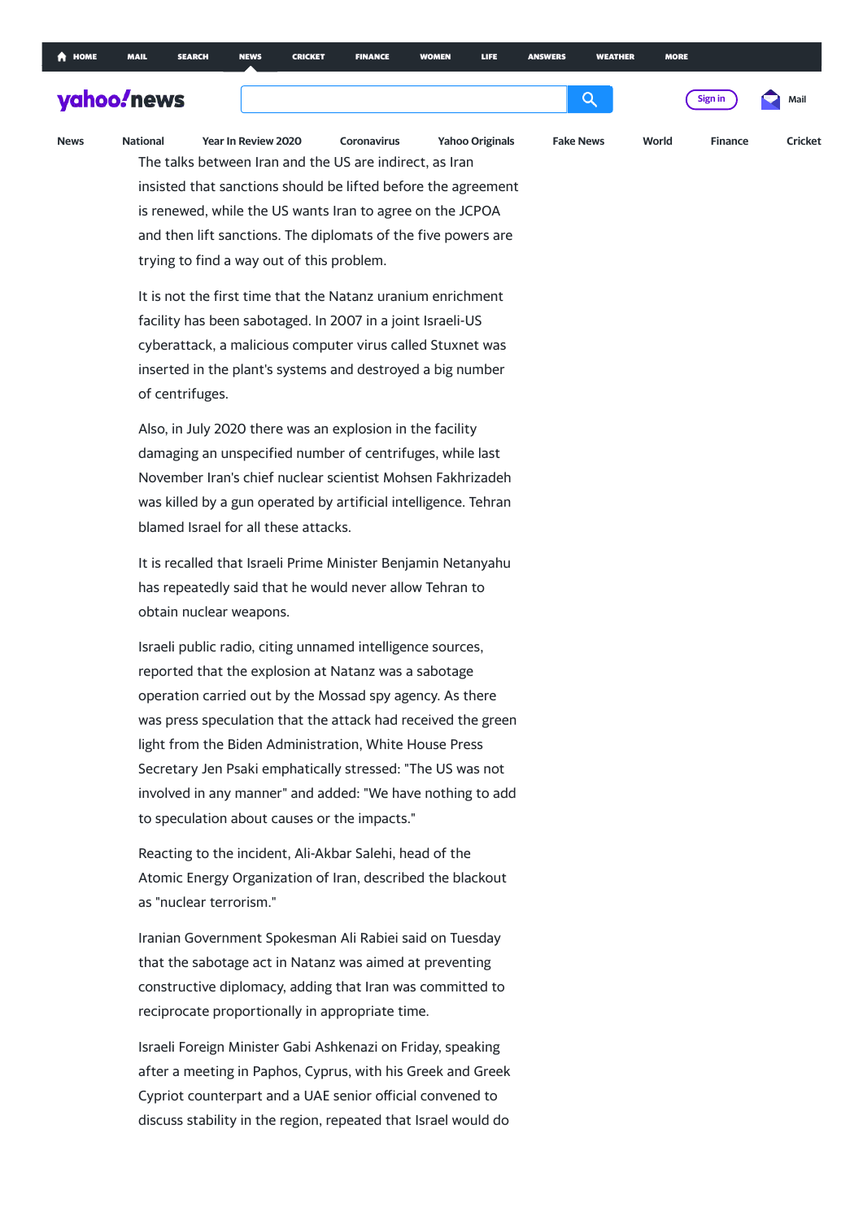## yahoo. news

The talks between Iran and the US are indirect, as Iran insisted that sanctions should be lifted before the agreement is renewed, while the US wants Iran to agree on the JCPOA and then lift sanctions. The diplomats of the five powers are trying to find a way out of this problem. **[News](https://in.news.yahoo.com/) [National](https://in.news.yahoo.com/national) [Year In Review 2020](https://in.yahoo.com/topics/yir-2020-india) [Coronavirus](https://in.yahoo.com/topics/coronavirus-updates) [Yahoo Originals](https://in.yahoo.com/topics/yahoo-india-originals) [Fake News](https://in.news.yahoo.com/tagged/fakenews) [World](https://in.news.yahoo.com/world) [Finance](https://in.finance.yahoo.com/) [Cricket](https://cricket.yahoo.net/)**

Donald Trump withdrew from the accord in 2018. President

It is not the first time that the Natanz uranium enrichment facility has been sabotaged. In 2007 in a joint Israeli-US cyberattack, a malicious computer virus called Stuxnet was inserted in the plant's systems and destroyed a big number of centrifuges.

Also, in July 2020 there was an explosion in the facility damaging an unspecified number of centrifuges, while last November Iran's chief nuclear scientist Mohsen Fakhrizadeh was killed by a gun operated by artificial intelligence. Tehran blamed Israel for all these attacks.

It is recalled that Israeli Prime Minister Benjamin Netanyahu has repeatedly said that he would never allow Tehran to obtain nuclear weapons.

Israeli public radio, citing unnamed intelligence sources, reported that the explosion at Natanz was a sabotage operation carried out by the Mossad spy agency. As there was press speculation that the attack had received the green light from the Biden Administration, White House Press Secretary Jen Psaki emphatically stressed: "The US was not involved in any manner" and added: "We have nothing to add to speculation about causes or the impacts."

Reacting to the incident, Ali-Akbar Salehi, head of the Atomic Energy Organization of Iran, described the blackout as "nuclear terrorism."

Iranian Government Spokesman Ali Rabiei said on Tuesday that the sabotage act in Natanz was aimed at preventing constructive diplomacy, adding that Iran was committed to reciprocate proportionally in appropriate time.

Israeli Foreign Minister Gabi Ashkenazi on Friday, speaking after a meeting in Paphos, Cyprus, with his Greek and Greek Cypriot counterpart and a UAE senior official convened to discuss stability in the region, repeated that Israel would do

Q

**[Sign in](https://login.yahoo.com/?.lang=en-IN&src=news&.done=https%3A%2F%2Fin.news.yahoo.com%2Fsabotage-natanz-nuclear-facility-harm-063652856.html%3Fguccounter%3D1%26guce_referrer%3DaHR0cHM6Ly93d3cuZ29vZ2xlLmNvbS8%26guce_referrer_sig%3DAQAAACaGTkDaeRD84tTT8RBfqeZwuqaKvKcl6OAnq4287MDr4X3WQF2yuOGaW3LVGgrrANl3pKQJQLqKPsWEUVxMy8iXRWaA7QuIq3WogpDVkB8wnBx5IJvIPUrMhykFhfEL3q0ayF_UFQ9e_zTNZ3eoYjDxZVWvEHOTVZ10ZaaKEqSq&pspid=1197793323&activity=ybar-signin) [Mail](https://mail.yahoo.com/?.intl=in&.lang=en-IN&pspid=1197793323&activity=ybar-mail)**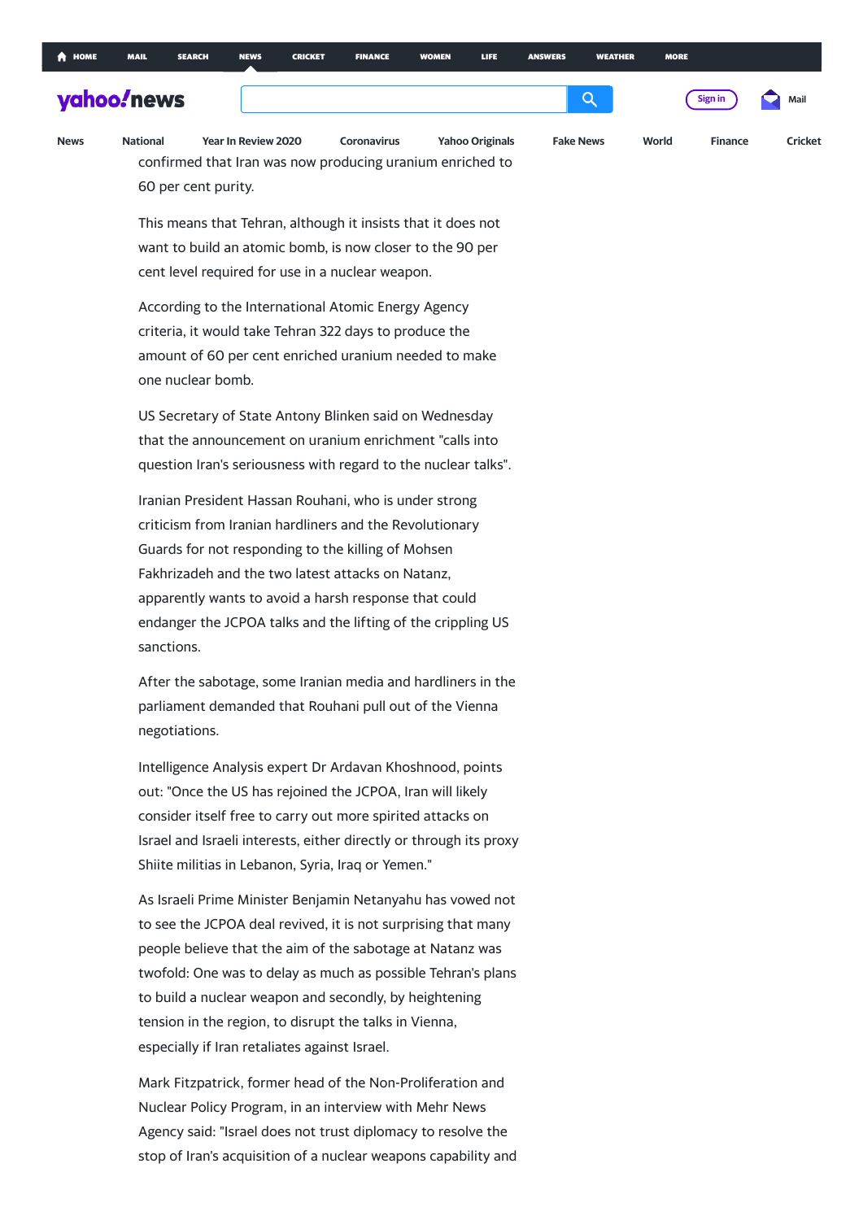nuclear weapons."

Q

**[Sign in](https://login.yahoo.com/?.lang=en-IN&src=news&.done=https%3A%2F%2Fin.news.yahoo.com%2Fsabotage-natanz-nuclear-facility-harm-063652856.html%3Fguccounter%3D1%26guce_referrer%3DaHR0cHM6Ly93d3cuZ29vZ2xlLmNvbS8%26guce_referrer_sig%3DAQAAACaGTkDaeRD84tTT8RBfqeZwuqaKvKcl6OAnq4287MDr4X3WQF2yuOGaW3LVGgrrANl3pKQJQLqKPsWEUVxMy8iXRWaA7QuIq3WogpDVkB8wnBx5IJvIPUrMhykFhfEL3q0ayF_UFQ9e_zTNZ3eoYjDxZVWvEHOTVZ10ZaaKEqSq&pspid=1197793323&activity=ybar-signin) [Mail](https://mail.yahoo.com/?.intl=in&.lang=en-IN&pspid=1197793323&activity=ybar-mail)**

## [In the w](https://in.news.yahoo.com/)ake of the Natanz attack, Tehran declared that it has been declared that it has been declared that it

would ramp up its uranium enrichment. Ali Akbar Salehi **[News](https://in.news.yahoo.com/) [National](https://in.news.yahoo.com/national) [Year In Review 2020](https://in.yahoo.com/topics/yir-2020-india) [Coronavirus](https://in.yahoo.com/topics/coronavirus-updates) [Yahoo Originals](https://in.yahoo.com/topics/yahoo-india-originals) [Fake News](https://in.news.yahoo.com/tagged/fakenews) [World](https://in.news.yahoo.com/world) [Finance](https://in.finance.yahoo.com/) [Cricket](https://cricket.yahoo.net/)**confirmed that Iran was now producing uranium enriched to 60 per cent purity.

> This means that Tehran, although it insists that it does not want to build an atomic bomb, is now closer to the 90 per cent level required for use in a nuclear weapon.

According to the International Atomic Energy Agency criteria, it would take Tehran 322 days to produce the amount of 60 per cent enriched uranium needed to make one nuclear bomb.

US Secretary of State Antony Blinken said on Wednesday that the announcement on uranium enrichment "calls into question Iran's seriousness with regard to the nuclear talks".

Iranian President Hassan Rouhani, who is under strong criticism from Iranian hardliners and the Revolutionary Guards for not responding to the killing of Mohsen Fakhrizadeh and the two latest attacks on Natanz, apparently wants to avoid a harsh response that could endanger the JCPOA talks and the lifting of the crippling US sanctions.

After the sabotage, some Iranian media and hardliners in the parliament demanded that Rouhani pull out of the Vienna negotiations.

Intelligence Analysis expert Dr Ardavan Khoshnood, points out: "Once the US has rejoined the JCPOA, Iran will likely consider itself free to carry out more spirited attacks on Israel and Israeli interests, either directly or through its proxy Shiite militias in Lebanon, Syria, Iraq or Yemen."

As Israeli Prime Minister Benjamin Netanyahu has vowed not to see the JCPOA deal revived, it is not surprising that many people believe that the aim of the sabotage at Natanz was twofold: One was to delay as much as possible Tehran's plans to build a nuclear weapon and secondly, by heightening tension in the region, to disrupt the talks in Vienna, especially if Iran retaliates against Israel.

Mark Fitzpatrick, former head of the Non-Proliferation and Nuclear Policy Program, in an interview with Mehr News Agency said: "Israel does not trust diplomacy to resolve the stop of Iran's acquisition of a nuclear weapons capability and